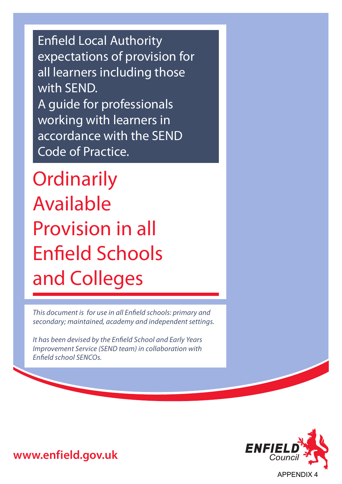Enfield Local Authority expectations of provision for all learners including those with **SEND**. A guide for professionals working with learners in accordance with the SEND Code of Practice.

**Ordinarily** Available Provision in all Enfield Schools and Colleges

*This document is for use in all Enfield schools: primary and secondary; maintained, academy and independent settings.*

*It has been devised by the Enfield School and Early Years Improvement Service (SEND team) in collaboration with Enfield school SENCOs.*



**www.enfield.gov.uk**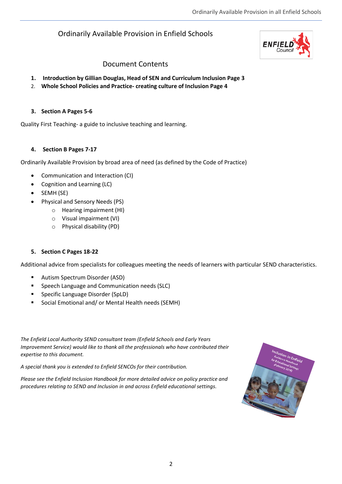## Ordinarily Available Provision in Enfield Schools



#### Document Contents

- **1. Introduction by Gillian Douglas, Head of SEN and Curriculum Inclusion Page 3**
- 2. **Whole School Policies and Practice- creating culture of Inclusion Page 4**

#### **3. Section A Pages 5-6**

Quality First Teaching- a guide to inclusive teaching and learning.

#### **4. Section B Pages 7-17**

Ordinarily Available Provision by broad area of need (as defined by the Code of Practice)

- Communication and Interaction (CI)
- Cognition and Learning (LC)
- SEMH (SE)
- Physical and Sensory Needs (PS)
	- o Hearing impairment (HI)
	- o Visual impairment (VI)
	- o Physical disability (PD)

#### **5. Section C Pages 18-22**

Additional advice from specialists for colleagues meeting the needs of learners with particular SEND characteristics.

- Autism Spectrum Disorder (ASD)
- Speech Language and Communication needs (SLC)
- Specific Language Disorder (SpLD)
- Social Emotional and/ or Mental Health needs (SEMH)

*The Enfield Local Authority SEND consultant team (Enfield Schools and Early Years Improvement Service) would like to thank all the professionals who have contributed their expertise to this document.*

*A special thank you is extended to Enfield SENCOs for their contribution.*

*Please see the Enfield Inclusion Handbook for more detailed advice on policy practice and procedures relating to SEND and Inclusion in and across Enfield educational settings.*

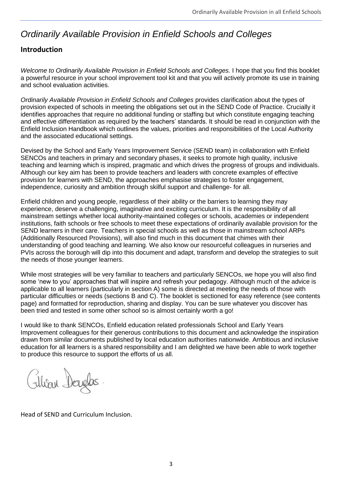## *Ordinarily Available Provision in Enfield Schools and Colleges*

### **Introduction**

*Welcome to Ordinarily Available Provision in Enfield Schools and Colleges.* I hope that you find this booklet a powerful resource in your school improvement tool kit and that you will actively promote its use in training and school evaluation activities.

*Ordinarily Available Provision in Enfield Schools and Colleges* provides clarification about the types of provision expected of schools in meeting the obligations set out in the SEND Code of Practice. Crucially it identifies approaches that require no additional funding or staffing but which constitute engaging teaching and effective differentiation as required by the teachers' standards. It should be read in conjunction with the Enfield Inclusion Handbook which outlines the values, priorities and responsibilities of the Local Authority and the associated educational settings.

Devised by the School and Early Years Improvement Service (SEND team) in collaboration with Enfield SENCOs and teachers in primary and secondary phases, it seeks to promote high quality, inclusive teaching and learning which is inspired, pragmatic and which drives the progress of groups and individuals. Although our key aim has been to provide teachers and leaders with concrete examples of effective provision for learners with SEND, the approaches emphasise strategies to foster engagement, independence, curiosity and ambition through skilful support and challenge- for all.

Enfield children and young people, regardless of their ability or the barriers to learning they may experience, deserve a challenging, imaginative and exciting curriculum. It is the responsibility of all mainstream settings whether local authority-maintained colleges or schools, academies or independent institutions, faith schools or free schools to meet these expectations of ordinarily available provision for the SEND learners in their care. Teachers in special schools as well as those in mainstream school ARPs (Additionally Resourced Provisions), will also find much in this document that chimes with their understanding of good teaching and learning. We also know our resourceful colleagues in nurseries and PVIs across the borough will dip into this document and adapt, transform and develop the strategies to suit the needs of those younger learners.

While most strategies will be very familiar to teachers and particularly SENCOs, we hope you will also find some 'new to you' approaches that will inspire and refresh your pedagogy. Although much of the advice is applicable to all learners (particularly in section A) some is directed at meeting the needs of those with particular difficulties or needs (sections B and C). The booklet is sectioned for easy reference (see contents page) and formatted for reproduction, sharing and display. You can be sure whatever you discover has been tried and tested in some other school so is almost certainly worth a go!

I would like to thank SENCOs, Enfield education related professionals School and Early Years Improvement colleagues for their generous contributions to this document and acknowledge the inspiration drawn from similar documents published by local education authorities nationwide. Ambitious and inclusive education for all learners is a shared responsibility and I am delighted we have been able to work together to produce this resource to support the efforts of us all.

Filian Douglas

Head of SEND and Curriculum Inclusion.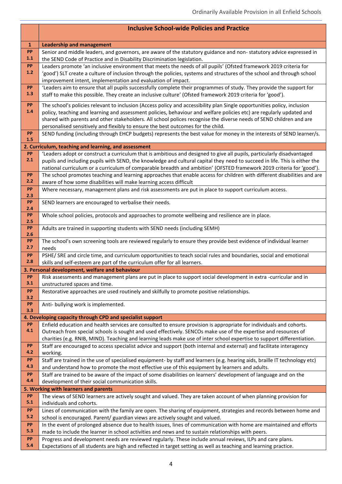|              | <b>Inclusive School-wide Policies and Practice</b>                                                                                                                                                              |
|--------------|-----------------------------------------------------------------------------------------------------------------------------------------------------------------------------------------------------------------|
| $\mathbf{1}$ | <b>Leadership and management</b>                                                                                                                                                                                |
| PP<br>1.1    | Senior and middle leaders, and governors, are aware of the statutory guidance and non-statutory advice expressed in<br>the SEND Code of Practice and in Disability Discrimination legislation.                  |
| PP           | Leaders promote 'an inclusive environment that meets the needs of all pupils' (Ofsted framework 2019 criteria for                                                                                               |
| $1.2$        | 'good') SLT create a culture of inclusion through the policies, systems and structures of the school and through school<br>improvement intent, implementation and evaluation of impact.                         |
| <b>PP</b>    | 'Leaders aim to ensure that all pupils successfully complete their programmes of study. They provide the support for                                                                                            |
| 1.3          | staff to make this possible. They create an inclusive culture' (Ofsted framework 2019 criteria for 'good').                                                                                                     |
| PP           | The school's policies relevant to inclusion (Access policy and accessibility plan Single opportunities policy, inclusion                                                                                        |
| 1.4          | policy, teaching and learning and assessment policies, behaviour and welfare policies etc) are regularly updated and                                                                                            |
|              | shared with parents and other stakeholders. All school polices recognise the diverse needs of SEND children and are                                                                                             |
| PP           | personalised sensitively and flexibly to ensure the best outcomes for the child.<br>SEND funding (including through EHCP budgets) represents the best value for money in the interests of SEND learner/s.       |
| 1.5          |                                                                                                                                                                                                                 |
|              | 2. Curriculum, teaching and learning, and assessment                                                                                                                                                            |
| PP           | 'Leaders adopt or construct a curriculum that is ambitious and designed to give all pupils, particularly disadvantaged                                                                                          |
| 2.1          | pupils and including pupils with SEND, the knowledge and cultural capital they need to succeed in life. This is either the                                                                                      |
|              | national curriculum or a curriculum of comparable breadth and ambition' (OFSTED framework 2019 criteria for 'good').                                                                                            |
| <b>PP</b>    | The school promotes teaching and learning approaches that enable access for children with different disabilities and are                                                                                        |
| 2.2          | aware of how some disabilities will make learning access difficult                                                                                                                                              |
| PP<br>2.3    | Where necessary, management plans and risk assessments are put in place to support curriculum access.                                                                                                           |
| PP           | SEND learners are encouraged to verbalise their needs.                                                                                                                                                          |
| 2.4          |                                                                                                                                                                                                                 |
| PP<br>2.5    | Whole school policies, protocols and approaches to promote wellbeing and resilience are in place.                                                                                                               |
| PP           | Adults are trained in supporting students with SEND needs (including SEMH)                                                                                                                                      |
| 2.6          |                                                                                                                                                                                                                 |
| PP           | The school's own screening tools are reviewed regularly to ensure they provide best evidence of individual learner                                                                                              |
| 2.7          | needs                                                                                                                                                                                                           |
| PP<br>2.8    | PSHE/ SRE and circle time, and curriculum opportunities to teach social rules and boundaries, social and emotional<br>skills and self-esteem are part of the curriculum offer for all learners.                 |
|              | 3. Personal development, welfare and behaviour                                                                                                                                                                  |
| <b>PP</b>    | Risk assessments and management plans are put in place to support social development in extra -curricular and in                                                                                                |
| 3.1          | unstructured spaces and time.                                                                                                                                                                                   |
| PP           | Restorative approaches are used routinely and skilfully to promote positive relationships.                                                                                                                      |
| 3.2<br>PP    |                                                                                                                                                                                                                 |
| 3.3          | Anti- bullying work is implemented.                                                                                                                                                                             |
|              | 4. Developing capacity through CPD and specialist support                                                                                                                                                       |
| PP           | Enfield education and health services are consulted to ensure provision is appropriate for individuals and cohorts.                                                                                             |
| 4.1          | Outreach from special schools is sought and used effectively. SENCOs make use of the expertise and resources of                                                                                                 |
|              | charities (e.g. RNIB, MIND). Teaching and learning leads make use of inter school expertise to support differentiation.                                                                                         |
| PP<br>4.2    | Staff are encouraged to access specialist advice and support (both internal and external) and facilitate interagency                                                                                            |
| PP           | working.<br>Staff are trained in the use of specialised equipment- by staff and learners (e.g. hearing aids, braille IT technology etc)                                                                         |
| 4.3          | and understand how to promote the most effective use of this equipment by learners and adults.                                                                                                                  |
| PP           | Staff are trained to be aware of the impact of some disabilities on learners' development of language and on the                                                                                                |
| 4.4          | development of their social communication skills.                                                                                                                                                               |
|              | 5. Working with learners and parents                                                                                                                                                                            |
| PP           | The views of SEND learners are actively sought and valued. They are taken account of when planning provision for                                                                                                |
| 5.1          | individuals and cohorts.                                                                                                                                                                                        |
| PP           | Lines of communication with the family are open. The sharing of equipment, strategies and records between home and                                                                                              |
| 5.2          | school is encouraged. Parent/ guardian views are actively sought and valued.                                                                                                                                    |
| PP<br>5.3    | In the event of prolonged absence due to health issues, lines of communication with home are maintained and efforts                                                                                             |
| PP           | made to include the learner in school activities and news and to sustain relationships with peers.<br>Progress and development needs are reviewed regularly. These include annual reviews, ILPs and care plans. |
| 5.4          | Expectations of all students are high and reflected in target setting as well as teaching and learning practice.                                                                                                |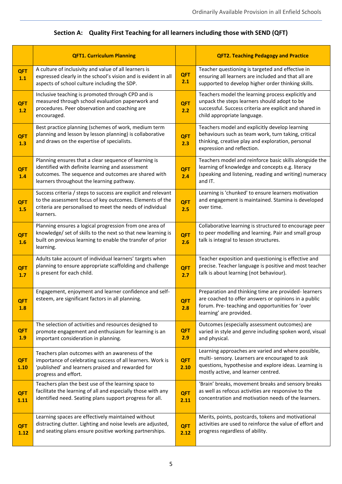|                     | <b>QFT1. Curriculum Planning</b>                                                                                                                                                                              |                    | <b>QFT2. Teaching Pedagogy and Practice</b>                                                                                                                                                          |
|---------------------|---------------------------------------------------------------------------------------------------------------------------------------------------------------------------------------------------------------|--------------------|------------------------------------------------------------------------------------------------------------------------------------------------------------------------------------------------------|
| <b>QFT</b><br>$1.1$ | A culture of inclusivity and value of all learners is<br>expressed clearly in the school's vision and is evident in all<br>aspects of school culture including the SDP.                                       | <b>QFT</b><br>2.1  | Teacher questioning is targeted and effective in<br>ensuring all learners are included and that all are<br>supported to develop higher order thinking skills.                                        |
| <b>QFT</b><br>1.2   | Inclusive teaching is promoted through CPD and is<br>measured through school evaluation paperwork and<br>procedures. Peer observation and coaching are<br>encouraged.                                         | <b>QFT</b><br>2.2  | Teachers model the learning process explicitly and<br>unpack the steps learners should adopt to be<br>successful. Success criteria are explicit and shared in<br>child appropriate language.         |
| <b>QFT</b><br>1.3   | Best practice planning (schemes of work, medium term<br>planning and lesson by lesson planning) is collaborative<br>and draws on the expertise of specialists.                                                | <b>QFT</b><br>2.3  | Teachers model and explicitly develop learning<br>behaviours such as team work, turn taking, critical<br>thinking, creative play and exploration, personal<br>expression and reflection.             |
| <b>QFT</b><br>1.4   | Planning ensures that a clear sequence of learning is<br>identified with definite learning and assessment<br>outcomes. The sequence and outcomes are shared with<br>learners throughout the learning pathway. | <b>QFT</b><br>2.4  | Teachers model and reinforce basic skills alongside the<br>learning of knowledge and concepts e.g. literacy<br>(speaking and listening, reading and writing) numeracy<br>and IT.                     |
| <b>QFT</b><br>1.5   | Success criteria / steps to success are explicit and relevant<br>to the assessment focus of key outcomes. Elements of the<br>criteria are personalised to meet the needs of individual<br>learners.           | <b>QFT</b><br>2.5  | Learning is 'chunked' to ensure learners motivation<br>and engagement is maintained. Stamina is developed<br>over time.                                                                              |
| <b>QFT</b><br>1.6   | Planning ensures a logical progression from one area of<br>knowledge/ set of skills to the next so that new learning is<br>built on previous learning to enable the transfer of prior<br>learning.            | <b>QFT</b><br>2.6  | Collaborative learning is structured to encourage peer<br>to peer modelling and learning. Pair and small group<br>talk is integral to lesson structures.                                             |
| <b>QFT</b><br>1.7   | Adults take account of individual learners' targets when<br>planning to ensure appropriate scaffolding and challenge<br>is present for each child.                                                            | <b>QFT</b><br>2.7  | Teacher exposition and questioning is effective and<br>precise. Teacher language is positive and most teacher<br>talk is about learning (not behaviour).                                             |
| <b>QFT</b><br>1.8   | Engagement, enjoyment and learner confidence and self-<br>esteem, are significant factors in all planning.                                                                                                    | <b>QFT</b><br>2.8  | Preparation and thinking time are provided-learners<br>are coached to offer answers or opinions in a public<br>forum. Pre-teaching and opportunities for 'over<br>learning' are provided.            |
| QFT<br>1.9          | The selection of activities and resources designed to<br>promote engagement and enthusiasm for learning is an<br>important consideration in planning.                                                         | <b>QFT</b><br>2.9  | Outcomes (especially assessment outcomes) are<br>varied in style and genre including spoken word, visual<br>and physical.                                                                            |
| <b>QFT</b><br>1.10  | Teachers plan outcomes with an awareness of the<br>importance of celebrating success of all learners. Work is<br>'published' and learners praised and rewarded for<br>progress and effort.                    | <b>QFT</b><br>2.10 | Learning approaches are varied and where possible,<br>multi- sensory. Learners are encouraged to ask<br>questions, hypothesise and explore ideas. Learning is<br>mostly active, and learner centred. |
| <b>QFT</b><br>1.11  | Teachers plan the best use of the learning space to<br>facilitate the learning of all and especially those with any<br>identified need. Seating plans support progress for all.                               | <b>QFT</b><br>2.11 | 'Brain' breaks, movement breaks and sensory breaks<br>as well as refocus activities are responsive to the<br>concentration and motivation needs of the learners.                                     |
| <b>QFT</b><br>1.12  | Learning spaces are effectively maintained without<br>distracting clutter. Lighting and noise levels are adjusted,<br>and seating plans ensure positive working partnerships.                                 | <b>QFT</b><br>2.12 | Merits, points, postcards, tokens and motivational<br>activities are used to reinforce the value of effort and<br>progress regardless of ability.                                                    |

## **Section A: Quality First Teaching for all learners including those with SEND (QFT)**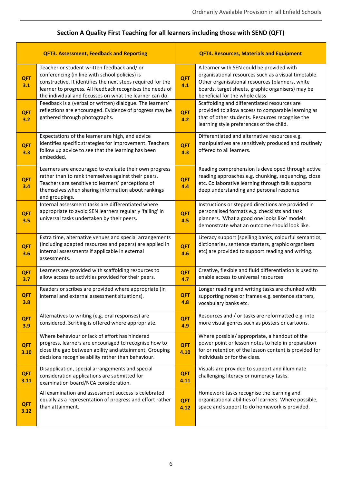|                    | <b>QFT3. Assessment, Feedback and Reporting</b>                                                                                                                                                                                                                                      |                    | <b>QFT4. Resources, Materials and Equipment</b>                                                                                                                                                                                             |  |
|--------------------|--------------------------------------------------------------------------------------------------------------------------------------------------------------------------------------------------------------------------------------------------------------------------------------|--------------------|---------------------------------------------------------------------------------------------------------------------------------------------------------------------------------------------------------------------------------------------|--|
| <b>QFT</b><br>3.1  | Teacher or student written feedback and/ or<br>conferencing (in line with school policies) is<br>constructive. It identifies the next steps required for the<br>learner to progress. All feedback recognises the needs of<br>the individual and focusses on what the learner can do. | <b>QFT</b><br>4.1  | A learner with SEN could be provided with<br>organisational resources such as a visual timetable.<br>Other organisational resources (planners, white<br>boards, target sheets, graphic organisers) may be<br>beneficial for the whole class |  |
| <b>QFT</b><br>3.2  | Feedback is a (verbal or written) dialogue. The learners'<br>reflections are encouraged. Evidence of progress may be<br>gathered through photographs.                                                                                                                                | <b>QFT</b><br>4.2  | Scaffolding and differentiated resources are<br>provided to allow access to comparable learning as<br>that of other students. Resources recognise the<br>learning style preferences of the child.                                           |  |
| <b>QFT</b><br>3.3  | Expectations of the learner are high, and advice<br>identifies specific strategies for improvement. Teachers<br>follow up advice to see that the learning has been<br>embedded.                                                                                                      | <b>QFT</b><br>4.3  | Differentiated and alternative resources e.g.<br>manipulatives are sensitively produced and routinely<br>offered to all learners.                                                                                                           |  |
| QFT<br>3.4         | Learners are encouraged to evaluate their own progress<br>rather than to rank themselves against their peers.<br>Teachers are sensitive to learners' perceptions of<br>themselves when sharing information about rankings<br>and groupings.                                          | <b>QFT</b><br>4.4  | Reading comprehension is developed through active<br>reading approaches e.g. chunking, sequencing, cloze<br>etc. Collaborative learning through talk supports<br>deep understanding and personal response                                   |  |
| <b>QFT</b><br>3.5  | Internal assessment tasks are differentiated where<br>appropriate to avoid SEN learners regularly 'failing' in<br>universal tasks undertaken by their peers.                                                                                                                         | <b>QFT</b><br>4.5  | Instructions or stepped directions are provided in<br>personalised formats e.g. checklists and task<br>planners. 'What a good one looks like' models<br>demonstrate what an outcome should look like.                                       |  |
| <b>QFT</b><br>3.6  | Extra time, alternative venues and special arrangements<br>(including adapted resources and papers) are applied in<br>internal assessments if applicable in external<br>assessments.                                                                                                 | <b>QFT</b><br>4.6  | Literacy support (spelling banks, colourful semantics,<br>dictionaries, sentence starters, graphic organisers<br>etc) are provided to support reading and writing.                                                                          |  |
| <b>QFT</b><br>3.7  | Learners are provided with scaffolding resources to<br>allow access to activities provided for their peers.                                                                                                                                                                          | <b>QFT</b><br>4.7  | Creative, flexible and fluid differentiation is used to<br>enable access to universal resources                                                                                                                                             |  |
| <b>QFT</b><br>3.8  | Readers or scribes are provided where appropriate (in<br>internal and external assessment situations).                                                                                                                                                                               | <b>QFT</b><br>4.8  | Longer reading and writing tasks are chunked with<br>supporting notes or frames e.g. sentence starters,<br>vocabulary banks etc.                                                                                                            |  |
| <b>QFT</b><br>3.9  | Alternatives to writing (e.g. oral responses) are<br>considered. Scribing is offered where appropriate.                                                                                                                                                                              | <b>QFT</b><br>4.9  | Resources and / or tasks are reformatted e.g. into<br>more visual genres such as posters or cartoons.                                                                                                                                       |  |
| <b>QFT</b><br>3.10 | Where behaviour or lack of effort has hindered<br>progress, learners are encouraged to recognise how to<br>close the gap between ability and attainment. Grouping<br>decisions recognise ability rather than behaviour.                                                              | <b>QFT</b><br>4.10 | Where possible/appropriate, a handout of the<br>power point or lesson notes to help in preparation<br>for or retention of the lesson content is provided for<br>individuals or for the class.                                               |  |
| <b>QFT</b><br>3.11 | Disapplication, special arrangements and special<br>consideration applications are submitted for<br>examination board/NCA consideration.                                                                                                                                             | <b>QFT</b><br>4.11 | Visuals are provided to support and illuminate<br>challenging literacy or numeracy tasks.                                                                                                                                                   |  |
| <b>QFT</b><br>3.12 | All examination and assessment success is celebrated<br>equally as a representation of progress and effort rather<br>than attainment.                                                                                                                                                | <b>QFT</b><br>4.12 | Homework tasks recognise the learning and<br>organisational abilities of learners. Where possible,<br>space and support to do homework is provided.                                                                                         |  |

## **Section A Quality First Teaching for all learners including those with SEND (QFT)**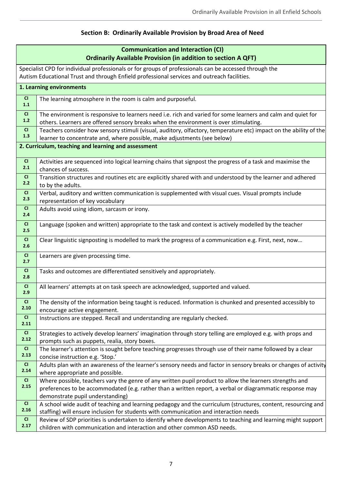## **Section B: Ordinarily Available Provision by Broad Area of Need**

|                  | <b>Communication and Interaction (CI)</b><br><b>Ordinarily Available Provision (in addition to section A QFT)</b>                                                                                     |
|------------------|-------------------------------------------------------------------------------------------------------------------------------------------------------------------------------------------------------|
|                  | Specialist CPD for individual professionals or for groups of professionals can be accessed through the<br>Autism Educational Trust and through Enfield professional services and outreach facilities. |
|                  | 1. Learning environments                                                                                                                                                                              |
| CI<br>1.1        | The learning atmosphere in the room is calm and purposeful.                                                                                                                                           |
| CI<br>$1.2$      | The environment is responsive to learners need i.e. rich and varied for some learners and calm and quiet for<br>others. Learners are offered sensory breaks when the environment is over stimulating. |
| CI<br>1.3        | Teachers consider how sensory stimuli (visual, auditory, olfactory, temperature etc) impact on the ability of the<br>learner to concentrate and, where possible, make adjustments (see below)         |
|                  | 2. Curriculum, teaching and learning and assessment                                                                                                                                                   |
| CI<br>2.1        | Activities are sequenced into logical learning chains that signpost the progress of a task and maximise the<br>chances of success.                                                                    |
| CI<br>2.2        | Transition structures and routines etc are explicitly shared with and understood by the learner and adhered<br>to by the adults.                                                                      |
| <b>CI</b><br>2.3 | Verbal, auditory and written communication is supplemented with visual cues. Visual prompts include<br>representation of key vocabulary                                                               |
| CI<br>2.4        | Adults avoid using idiom, sarcasm or irony.                                                                                                                                                           |
| <b>CI</b><br>2.5 | Language (spoken and written) appropriate to the task and context is actively modelled by the teacher                                                                                                 |
| CI<br>2.6        | Clear linguistic signposting is modelled to mark the progress of a communication e.g. First, next, now                                                                                                |
| <b>CI</b><br>2.7 | Learners are given processing time.                                                                                                                                                                   |
| CI<br>2.8        | Tasks and outcomes are differentiated sensitively and appropriately.                                                                                                                                  |
| CI<br>2.9        | All learners' attempts at on task speech are acknowledged, supported and valued.                                                                                                                      |
| CI<br>2.10       | The density of the information being taught is reduced. Information is chunked and presented accessibly to<br>encourage active engagement.                                                            |
| CI<br>2.11       | Instructions are stepped. Recall and understanding are regularly checked.                                                                                                                             |
| CI<br>2.12       | Strategies to actively develop learners' imagination through story telling are employed e.g. with props and<br>prompts such as puppets, realia, story boxes.                                          |
| CI               | The learner's attention is sought before teaching progresses through use of their name followed by a clear                                                                                            |
| 2.13             | concise instruction e.g. 'Stop.'                                                                                                                                                                      |
| CI<br>2.14       | Adults plan with an awareness of the learner's sensory needs and factor in sensory breaks or changes of activity<br>where appropriate and possible.                                                   |
| CI               | Where possible, teachers vary the genre of any written pupil product to allow the learners strengths and                                                                                              |
| 2.15             | preferences to be accommodated (e.g. rather than a written report, a verbal or diagrammatic response may                                                                                              |
|                  | demonstrate pupil understanding)                                                                                                                                                                      |
| CI<br>2.16       | A school wide audit of teaching and learning pedagogy and the curriculum (structures, content, resourcing and                                                                                         |
| CI               | staffing) will ensure inclusion for students with communication and interaction needs<br>Review of SDP priorities is undertaken to identify where developments to teaching and learning might support |
| 2.17             | children with communication and interaction and other common ASD needs.                                                                                                                               |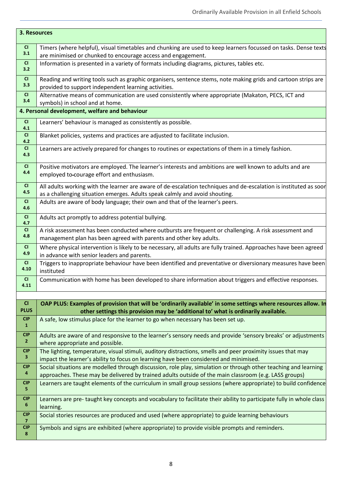| 3. Resources                 |                                                                                                                                                                                                                          |
|------------------------------|--------------------------------------------------------------------------------------------------------------------------------------------------------------------------------------------------------------------------|
| CI<br>3.1                    | Timers (where helpful), visual timetables and chunking are used to keep learners focussed on tasks. Dense texts<br>are minimised or chunked to encourage access and engagement.                                          |
| CI<br>3.2                    | Information is presented in a variety of formats including diagrams, pictures, tables etc.                                                                                                                               |
| CI<br>3.3                    | Reading and writing tools such as graphic organisers, sentence stems, note making grids and cartoon strips are<br>provided to support independent learning activities.                                                   |
| CI<br>3.4                    | Alternative means of communication are used consistently where appropriate (Makaton, PECS, ICT and<br>symbols) in school and at home.                                                                                    |
|                              | 4. Personal development, welfare and behaviour                                                                                                                                                                           |
| CI<br>4.1                    | Learners' behaviour is managed as consistently as possible.                                                                                                                                                              |
| CI<br>4.2                    | Blanket policies, systems and practices are adjusted to facilitate inclusion.                                                                                                                                            |
| CI<br>4.3                    | Learners are actively prepared for changes to routines or expectations of them in a timely fashion.                                                                                                                      |
| CI.<br>4.4                   | Positive motivators are employed. The learner's interests and ambitions are well known to adults and are<br>employed to-courage effort and enthusiasm.                                                                   |
| CI<br>4.5                    | All adults working with the learner are aware of de-escalation techniques and de-escalation is instituted as soor<br>as a challenging situation emerges. Adults speak calmly and avoid shouting.                         |
| CI<br>4.6                    | Adults are aware of body language; their own and that of the learner's peers.                                                                                                                                            |
| CI<br>4.7                    | Adults act promptly to address potential bullying.                                                                                                                                                                       |
| CI<br>4.8                    | A risk assessment has been conducted where outbursts are frequent or challenging. A risk assessment and<br>management plan has been agreed with parents and other key adults.                                            |
| CI<br>4.9                    | Where physical intervention is likely to be necessary, all adults are fully trained. Approaches have been agreed<br>in advance with senior leaders and parents.                                                          |
| CI<br>4.10                   | Triggers to inappropriate behaviour have been identified and preventative or diversionary measures have been<br>instituted                                                                                               |
| CI<br>4.11                   | Communication with home has been developed to share information about triggers and effective responses.                                                                                                                  |
|                              |                                                                                                                                                                                                                          |
| CI<br><b>PLUS</b>            | OAP PLUS: Examples of provision that will be 'ordinarily available' in some settings where resources allow. In<br>other settings this provision may be 'additional to' what is ordinarily available.                     |
| CIP<br>$\mathbf{1}$          | A safe, low stimulus place for the learner to go when necessary has been set up.                                                                                                                                         |
| <b>CIP</b><br>$\mathbf{2}$   | Adults are aware of and responsive to the learner's sensory needs and provide 'sensory breaks' or adjustments                                                                                                            |
| <b>CIP</b>                   | where appropriate and possible.<br>The lighting, temperature, visual stimuli, auditory distractions, smells and peer proximity issues that may                                                                           |
| 3                            | impact the learner's ability to focus on learning have been considered and minimised.                                                                                                                                    |
| <b>CIP</b><br>4              | Social situations are modelled through discussion, role play, simulation or through other teaching and learning<br>approaches. These may be delivered by trained adults outside of the main classroom (e.g. LASS groups) |
| <b>CIP</b><br>5.             | Learners are taught elements of the curriculum in small group sessions (where appropriate) to build confidence                                                                                                           |
| <b>CIP</b><br>6              | Learners are pre-taught key concepts and vocabulary to facilitate their ability to participate fully in whole class<br>learning.                                                                                         |
| <b>CIP</b><br>$\overline{7}$ | Social stories resources are produced and used (where appropriate) to guide learning behaviours                                                                                                                          |
| <b>CIP</b><br>8              | Symbols and signs are exhibited (where appropriate) to provide visible prompts and reminders.                                                                                                                            |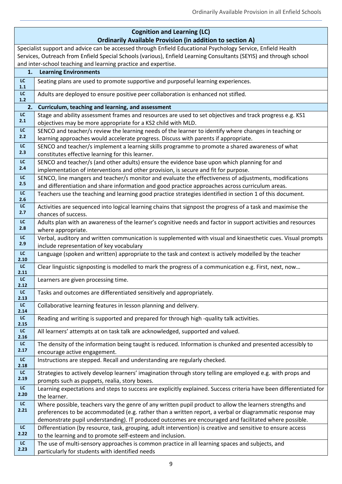|                        | <b>Cognition and Learning (LC)</b><br><b>Ordinarily Available Provision (in addition to section A)</b>                                                                                        |
|------------------------|-----------------------------------------------------------------------------------------------------------------------------------------------------------------------------------------------|
|                        | Specialist support and advice can be accessed through Enfield Educational Psychology Service, Enfield Health                                                                                  |
|                        | Services, Outreach from Enfield Special Schools (various), Enfield Learning Consultants (SEYIS) and through school<br>and inter-school teaching and learning practice and expertise.          |
| 1.                     | <b>Learning Environments</b>                                                                                                                                                                  |
| LC                     | Seating plans are used to promote supportive and purposeful learning experiences.                                                                                                             |
| $1.1$                  |                                                                                                                                                                                               |
| $\mathsf{LC}$<br>$1.2$ | Adults are deployed to ensure positive peer collaboration is enhanced not stifled.                                                                                                            |
| 2.                     | Curriculum, teaching and learning, and assessment                                                                                                                                             |
| ${\sf LC}$             | Stage and ability assessment frames and resources are used to set objectives and track progress e.g. KS1                                                                                      |
| 2.1                    | objectives may be more appropriate for a KS2 child with MLD.                                                                                                                                  |
| $\mathsf{LC}$          | SENCO and teacher/s review the learning needs of the learner to identify where changes in teaching or                                                                                         |
| 2.2                    | learning approaches would accelerate progress. Discuss with parents if appropriate.                                                                                                           |
| LC<br>2.3              | SENCO and teacher/s implement a learning skills programme to promote a shared awareness of what                                                                                               |
| LC                     | constitutes effective learning for this learner.                                                                                                                                              |
| 2.4                    | SENCO and teacher/s (and other adults) ensure the evidence base upon which planning for and                                                                                                   |
| LC                     | implementation of interventions and other provision, is secure and fit for purpose.<br>SENCO, line mangers and teacher/s monitor and evaluate the effectiveness of adjustments, modifications |
| 2.5                    | and differentiation and share information and good practice approaches across curriculum areas.                                                                                               |
| ${\sf LC}$             | Teachers use the teaching and learning good practice strategies identified in section 1 of this document.                                                                                     |
| 2.6                    |                                                                                                                                                                                               |
| ${\sf LC}$<br>2.7      | Activities are sequenced into logical learning chains that signpost the progress of a task and maximise the                                                                                   |
| LC                     | chances of success.                                                                                                                                                                           |
| 2.8                    | Adults plan with an awareness of the learner's cognitive needs and factor in support activities and resources                                                                                 |
| LC                     | where appropriate.<br>Verbal, auditory and written communication is supplemented with visual and kinaesthetic cues. Visual prompts                                                            |
| 2.9                    | include representation of key vocabulary                                                                                                                                                      |
| LC                     | Language (spoken and written) appropriate to the task and context is actively modelled by the teacher                                                                                         |
| 2.10                   |                                                                                                                                                                                               |
| LC<br>2.11             | Clear linguistic signposting is modelled to mark the progress of a communication e.g. First, next, now                                                                                        |
| ${\sf LC}$<br>2.12     | Learners are given processing time.                                                                                                                                                           |
| LC<br>2.13             | Tasks and outcomes are differentiated sensitively and appropriately.                                                                                                                          |
| LC<br>2.14             | Collaborative learning features in lesson planning and delivery.                                                                                                                              |
| $\mathsf{LC}$<br>2.15  | Reading and writing is supported and prepared for through high -quality talk activities.                                                                                                      |
| LC                     | All learners' attempts at on task talk are acknowledged, supported and valued.                                                                                                                |
| 2.16                   |                                                                                                                                                                                               |
| $\mathsf{LC}$<br>2.17  | The density of the information being taught is reduced. Information is chunked and presented accessibly to<br>encourage active engagement.                                                    |
| LC                     | Instructions are stepped. Recall and understanding are regularly checked.                                                                                                                     |
| 2.18                   |                                                                                                                                                                                               |
| LC<br>2.19             | Strategies to actively develop learners' imagination through story telling are employed e.g. with props and                                                                                   |
|                        | prompts such as puppets, realia, story boxes.                                                                                                                                                 |
| LC<br>2.20             | Learning expectations and steps to success are explicitly explained. Success criteria have been differentiated for<br>the learner.                                                            |
| $\mathsf{LC}$          | Where possible, teachers vary the genre of any written pupil product to allow the learners strengths and                                                                                      |
| 2.21                   | preferences to be accommodated (e.g. rather than a written report, a verbal or diagrammatic response may                                                                                      |
|                        | demonstrate pupil understanding). IT produced outcomes are encouraged and facilitated where possible.                                                                                         |
| ${\sf LC}$<br>2.22     | Differentiation (by resource, task, grouping, adult intervention) is creative and sensitive to ensure access                                                                                  |
| LC                     | to the learning and to promote self-esteem and inclusion.                                                                                                                                     |
| 2.23                   | The use of multi-sensory approaches is common practice in all learning spaces and subjects, and<br>particularly for students with identified needs                                            |
|                        |                                                                                                                                                                                               |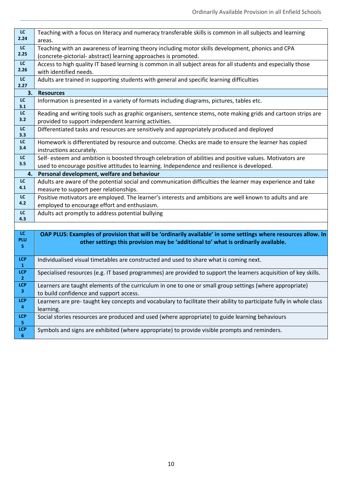| LC<br>2.24                            | Teaching with a focus on literacy and numeracy transferable skills is common in all subjects and learning<br>areas.                                                                                      |
|---------------------------------------|----------------------------------------------------------------------------------------------------------------------------------------------------------------------------------------------------------|
| LC<br>2.25                            | Teaching with an awareness of learning theory including motor skills development, phonics and CPA<br>(concrete-pictorial- abstract) learning approaches is promoted.                                     |
| LC<br>2.26                            | Access to high quality IT based learning is common in all subject areas for all students and especially those<br>with identified needs.                                                                  |
| $\mathsf{LC}$<br>2.27                 | Adults are trained in supporting students with general and specific learning difficulties                                                                                                                |
| 3.                                    | <b>Resources</b>                                                                                                                                                                                         |
| LC<br>3.1                             | Information is presented in a variety of formats including diagrams, pictures, tables etc.                                                                                                               |
| LC<br>3.2                             | Reading and writing tools such as graphic organisers, sentence stems, note making grids and cartoon strips are<br>provided to support independent learning activities.                                   |
| $\overline{LC}$<br>3.3                | Differentiated tasks and resources are sensitively and appropriately produced and deployed                                                                                                               |
| LC<br>3.4                             | Homework is differentiated by resource and outcome. Checks are made to ensure the learner has copied<br>instructions accurately.                                                                         |
| LC<br>3.5                             | Self- esteem and ambition is boosted through celebration of abilities and positive values. Motivators are<br>used to encourage positive attitudes to learning. Independence and resilience is developed. |
| 4.                                    | Personal development, welfare and behaviour                                                                                                                                                              |
| LC                                    | Adults are aware of the potential social and communication difficulties the learner may experience and take                                                                                              |
| 4.1                                   | measure to support peer relationships.                                                                                                                                                                   |
| LC                                    | Positive motivators are employed. The learner's interests and ambitions are well known to adults and are                                                                                                 |
| 4.2                                   | employed to encourage effort and enthusiasm.                                                                                                                                                             |
| LC<br>4.3                             | Adults act promptly to address potential bullying                                                                                                                                                        |
|                                       |                                                                                                                                                                                                          |
| LC.<br>PLU                            | OAP PLUS: Examples of provision that will be 'ordinarily available' in some settings where resources allow. In                                                                                           |
| S.                                    | other settings this provision may be 'additional to' what is ordinarily available.                                                                                                                       |
| <b>LCP</b><br>$\mathbf{1}$            | Individualised visual timetables are constructed and used to share what is coming next.                                                                                                                  |
| <b>LCP</b><br>$\overline{2}$          | Specialised resources (e.g. IT based programmes) are provided to support the learners acquisition of key skills.                                                                                         |
| LCP                                   | Learners are taught elements of the curriculum in one to one or small group settings (where appropriate)                                                                                                 |
| $\mathbf{3}$                          | to build confidence and support access.                                                                                                                                                                  |
| <b>LCP</b><br>$\overline{\mathbf{4}}$ | Learners are pre-taught key concepts and vocabulary to facilitate their ability to participate fully in whole class<br>learning.                                                                         |
| <b>LCP</b>                            |                                                                                                                                                                                                          |
| ${\bf 5}$                             | Social stories resources are produced and used (where appropriate) to guide learning behaviours                                                                                                          |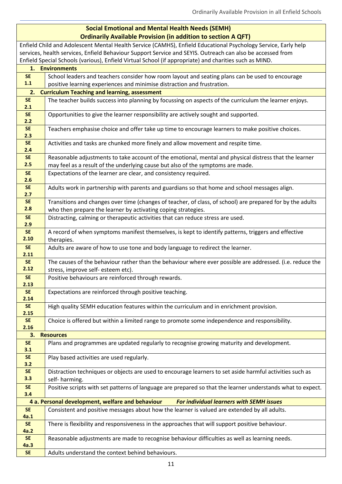# **Social Emotional and Mental Health Needs (SEMH)**

|                    | <b>Ordinarily Available Provision (in addition to section A QFT)</b>                                                           |
|--------------------|--------------------------------------------------------------------------------------------------------------------------------|
|                    | Enfield Child and Adolescent Mental Health Service (CAMHS), Enfield Educational Psychology Service, Early help                 |
|                    | services, health services, Enfield Behaviour Support Service and SEYIS. Outreach can also be accessed from                     |
|                    | Enfield Special Schools (various), Enfield Virtual School (if appropriate) and charities such as MIND.                         |
|                    | 1. Environments                                                                                                                |
| <b>SE</b><br>$1.1$ | School leaders and teachers consider how room layout and seating plans can be used to encourage                                |
| 2.                 | positive learning experiences and minimise distraction and frustration.<br><b>Curriculum Teaching and learning, assessment</b> |
| <b>SE</b>          | The teacher builds success into planning by focussing on aspects of the curriculum the learner enjoys.                         |
| 2.1                |                                                                                                                                |
| <b>SE</b>          | Opportunities to give the learner responsibility are actively sought and supported.                                            |
| 2.2                |                                                                                                                                |
| <b>SE</b>          | Teachers emphasise choice and offer take up time to encourage learners to make positive choices.                               |
| 2.3<br><b>SE</b>   | Activities and tasks are chunked more finely and allow movement and respite time.                                              |
| 2.4                |                                                                                                                                |
| <b>SE</b>          | Reasonable adjustments to take account of the emotional, mental and physical distress that the learner                         |
| 2.5                | may feel as a result of the underlying cause but also of the symptoms are made.                                                |
| <b>SE</b>          | Expectations of the learner are clear, and consistency required.                                                               |
| 2.6                |                                                                                                                                |
| <b>SE</b><br>2.7   | Adults work in partnership with parents and guardians so that home and school messages align.                                  |
| <b>SE</b>          | Transitions and changes over time (changes of teacher, of class, of school) are prepared for by the adults                     |
| 2.8                | who then prepare the learner by activating coping strategies.                                                                  |
| <b>SE</b>          | Distracting, calming or therapeutic activities that can reduce stress are used.                                                |
| 2.9                |                                                                                                                                |
| <b>SE</b>          | A record of when symptoms manifest themselves, is kept to identify patterns, triggers and effective                            |
| 2.10               | therapies.                                                                                                                     |
| <b>SE</b><br>2.11  | Adults are aware of how to use tone and body language to redirect the learner.                                                 |
| <b>SE</b>          | The causes of the behaviour rather than the behaviour where ever possible are addressed. (i.e. reduce the                      |
| 2.12               | stress, improve self- esteem etc).                                                                                             |
| <b>SE</b>          | Positive behaviours are reinforced through rewards.                                                                            |
| 2.13               |                                                                                                                                |
| <b>SE</b><br>2.14  | Expectations are reinforced through positive teaching.                                                                         |
| <b>SE</b>          | High quality SEMH education features within the curriculum and in enrichment provision.                                        |
| 2.15               |                                                                                                                                |
| <b>SE</b>          | Choice is offered but within a limited range to promote some independence and responsibility.                                  |
| 2.16               |                                                                                                                                |
| 3.                 | <b>Resources</b>                                                                                                               |
| <b>SE</b><br>3.1   | Plans and programmes are updated regularly to recognise growing maturity and development.                                      |
| <b>SE</b>          | Play based activities are used regularly.                                                                                      |
| 3.2                |                                                                                                                                |
| <b>SE</b>          | Distraction techniques or objects are used to encourage learners to set aside harmful activities such as                       |
| 3.3                | self- harming.                                                                                                                 |
| <b>SE</b>          | Positive scripts with set patterns of language are prepared so that the learner understands what to expect.                    |
| 3.4                | 4 a. Personal development, welfare and behaviour<br><b>For individual learners with SEMH issues</b>                            |
| <b>SE</b>          | Consistent and positive messages about how the learner is valued are extended by all adults.                                   |
| 4a.1               |                                                                                                                                |
| <b>SE</b>          | There is flexibility and responsiveness in the approaches that will support positive behaviour.                                |
| 4a.2               |                                                                                                                                |
| <b>SE</b><br>4a.3  | Reasonable adjustments are made to recognise behaviour difficulties as well as learning needs.                                 |
| <b>SE</b>          | Adults understand the context behind behaviours.                                                                               |
|                    |                                                                                                                                |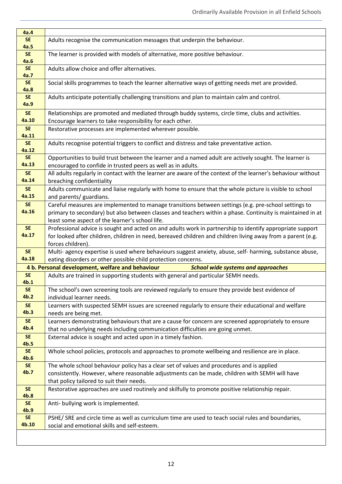| 4a.4                          |                                                                                                                                                                                       |
|-------------------------------|---------------------------------------------------------------------------------------------------------------------------------------------------------------------------------------|
| <b>SE</b><br>4a.5             | Adults recognise the communication messages that underpin the behaviour.                                                                                                              |
| <b>SE</b>                     | The learner is provided with models of alternative, more positive behaviour.                                                                                                          |
| 4a.6<br><b>SE</b>             | Adults allow choice and offer alternatives.                                                                                                                                           |
| 4a.7<br><b>SE</b>             | Social skills programmes to teach the learner alternative ways of getting needs met are provided.                                                                                     |
| 4a.8                          |                                                                                                                                                                                       |
| <b>SE</b><br><b>4a.9</b>      | Adults anticipate potentially challenging transitions and plan to maintain calm and control.                                                                                          |
| <b>SE</b>                     | Relationships are promoted and mediated through buddy systems, circle time, clubs and activities.                                                                                     |
| 4a.10                         | Encourage learners to take responsibility for each other.                                                                                                                             |
| <b>SE</b><br>4a.11            | Restorative processes are implemented wherever possible.                                                                                                                              |
| <b>SE</b><br>4a.12            | Adults recognise potential triggers to conflict and distress and take preventative action.                                                                                            |
| <b>SE</b>                     | Opportunities to build trust between the learner and a named adult are actively sought. The learner is                                                                                |
| 4a.13                         | encouraged to confide in trusted peers as well as in adults.                                                                                                                          |
| <b>SE</b><br>4a.14            | All adults regularly in contact with the learner are aware of the context of the learner's behaviour without<br>breaching confidentiality                                             |
| <b>SE</b>                     | Adults communicate and liaise regularly with home to ensure that the whole picture is visible to school                                                                               |
| 4a.15                         | and parents/ guardians.                                                                                                                                                               |
| <b>SE</b>                     | Careful measures are implemented to manage transitions between settings (e.g. pre-school settings to                                                                                  |
| 4a.16                         | primary to secondary) but also between classes and teachers within a phase. Continuity is maintained in at<br>least some aspect of the learner's school life.                         |
| <b>SE</b>                     | Professional advice is sought and acted on and adults work in partnership to identify appropriate support                                                                             |
| 4a.17                         | for looked after children, children in need, bereaved children and children living away from a parent (e.g.                                                                           |
|                               | forces children).                                                                                                                                                                     |
| <b>SE</b>                     | Multi- agency expertise is used where behaviours suggest anxiety, abuse, self- harming, substance abuse,                                                                              |
| 4a.18                         | eating disorders or other possible child protection concerns.                                                                                                                         |
|                               | 4 b. Personal development, welfare and behaviour<br><b>School wide systems and approaches</b>                                                                                         |
| <b>SE</b><br>4b.1             | Adults are trained in supporting students with general and particular SEMH needs.                                                                                                     |
| <b>SE</b>                     | The school's own screening tools are reviewed regularly to ensure they provide best evidence of                                                                                       |
| 4b.2                          | individual learner needs.                                                                                                                                                             |
| <b>SE</b>                     | Learners with suspected SEMH issues are screened regularly to ensure their educational and welfare                                                                                    |
| 4b.3                          | needs are being met.                                                                                                                                                                  |
| <b>SE</b><br>4 <sub>b.4</sub> | Learners demonstrating behaviours that are a cause for concern are screened appropriately to ensure<br>that no underlying needs including communication difficulties are going unmet. |
| <b>SE</b>                     | External advice is sought and acted upon in a timely fashion.                                                                                                                         |
| 4b.5                          |                                                                                                                                                                                       |
| <b>SE</b><br>4b.6             | Whole school policies, protocols and approaches to promote wellbeing and resilience are in place.                                                                                     |
| <b>SE</b>                     | The whole school behaviour policy has a clear set of values and procedures and is applied                                                                                             |
| 4 <sub>b.7</sub>              | consistently. However, where reasonable adjustments can be made, children with SEMH will have                                                                                         |
|                               | that policy tailored to suit their needs.                                                                                                                                             |
| <b>SE</b><br>4b.8             | Restorative approaches are used routinely and skilfully to promote positive relationship repair.                                                                                      |
| <b>SE</b><br>4 <sub>b.9</sub> | Anti- bullying work is implemented.                                                                                                                                                   |
| <b>SE</b>                     | PSHE/ SRE and circle time as well as curriculum time are used to teach social rules and boundaries,                                                                                   |
| 4b.10                         | social and emotional skills and self-esteem.                                                                                                                                          |
|                               |                                                                                                                                                                                       |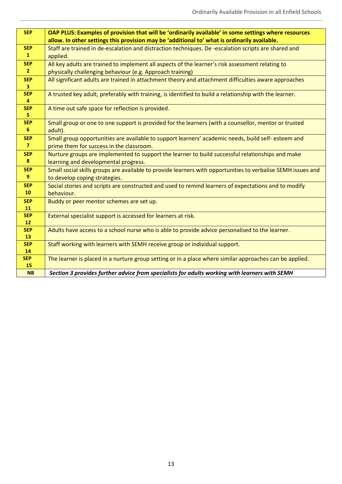| <b>SEP</b>      | OAP PLUS: Examples of provision that will be 'ordinarily available' in some settings where resources         |
|-----------------|--------------------------------------------------------------------------------------------------------------|
|                 | allow. In other settings this provision may be 'additional to' what is ordinarily available.                 |
| <b>SEP</b>      | Staff are trained in de-escalation and distraction techniques. De-escalation scripts are shared and          |
| $\mathbf{1}$    | applied.                                                                                                     |
| <b>SEP</b>      | All key adults are trained to implement all aspects of the learner's risk assessment relating to             |
| $\overline{2}$  | physically challenging behaviour (e.g. Approach training)                                                    |
| <b>SEP</b>      | All significant adults are trained in attachment theory and attachment difficulties aware approaches         |
| 3 <sup>1</sup>  |                                                                                                              |
| <b>SEP</b><br>4 | A trusted key adult, preferably with training, is identified to build a relationship with the learner.       |
| <b>SEP</b>      | A time out safe space for reflection is provided.                                                            |
| 5.              |                                                                                                              |
| <b>SEP</b>      | Small group or one to one support is provided for the learners (with a counsellor, mentor or trusted         |
| 6               | adult).                                                                                                      |
| <b>SEP</b>      | Small group opportunities are available to support learners' academic needs, build self-esteem and           |
| $\overline{7}$  | prime them for success in the classroom.                                                                     |
| <b>SEP</b>      | Nurture groups are implemented to support the learner to build successful relationships and make             |
| 8               | learning and developmental progress.                                                                         |
| <b>SEP</b>      | Small social skills groups are available to provide learners with opportunities to verbalise SEMH issues and |
| 9               | to develop coping strategies.                                                                                |
| <b>SEP</b>      | Social stories and scripts are constructed and used to remind learners of expectations and to modify         |
| 10              | behaviour.                                                                                                   |
| <b>SEP</b>      | Buddy or peer mentor schemes are set up.                                                                     |
| 11              |                                                                                                              |
| <b>SEP</b>      | External specialist support is accessed for learners at risk.                                                |
| 12              |                                                                                                              |
| <b>SEP</b>      | Adults have access to a school nurse who is able to provide advice personalised to the learner.              |
| 13              |                                                                                                              |
| <b>SEP</b>      | Staff working with learners with SEMH receive group or individual support.                                   |
| 14              |                                                                                                              |
| <b>SEP</b>      | The learner is placed in a nurture group setting or in a place where similar approaches can be applied.      |
| 15              |                                                                                                              |
| <b>NB</b>       | Section 3 provides further advice from specialists for adults working with learners with SEMH                |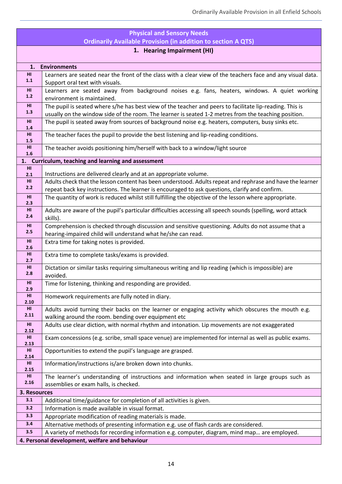|                         | <b>Physical and Sensory Needs</b>                                                                                                                                                                                |
|-------------------------|------------------------------------------------------------------------------------------------------------------------------------------------------------------------------------------------------------------|
|                         | <b>Ordinarily Available Provision (in addition to section A QTS)</b>                                                                                                                                             |
|                         | 1. Hearing Impairment (HI)                                                                                                                                                                                       |
| 1.                      | <b>Environments</b>                                                                                                                                                                                              |
| HI<br>$1.1$             | Learners are seated near the front of the class with a clear view of the teachers face and any visual data.<br>Support oral text with visuals.                                                                   |
| HI<br>$1.2$             | Learners are seated away from background noises e.g. fans, heaters, windows. A quiet working<br>environment is maintained.                                                                                       |
| HI<br>1.3               | The pupil is seated where s/he has best view of the teacher and peers to facilitate lip-reading. This is<br>usually on the window side of the room. The learner is seated 1-2 metres from the teaching position. |
| HI<br>1.4               | The pupil is seated away from sources of background noise e.g. heaters, computers, busy sinks etc.                                                                                                               |
| HI<br>1.5               | The teacher faces the pupil to provide the best listening and lip-reading conditions.                                                                                                                            |
| HI<br>1.6               | The teacher avoids positioning him/herself with back to a window/light source                                                                                                                                    |
|                         | 1. Curriculum, teaching and learning and assessment                                                                                                                                                              |
| HI<br>2.1               | Instructions are delivered clearly and at an appropriate volume.                                                                                                                                                 |
| HI                      | Adults check that the lesson content has been understood. Adults repeat and rephrase and have the learner                                                                                                        |
| 2.2                     | repeat back key instructions. The learner is encouraged to ask questions, clarify and confirm.                                                                                                                   |
| HI<br>2.3               | The quantity of work is reduced whilst still fulfilling the objective of the lesson where appropriate.                                                                                                           |
| HI<br>2.4               | Adults are aware of the pupil's particular difficulties accessing all speech sounds (spelling, word attack<br>skills).                                                                                           |
| HI<br>2.5               | Comprehension is checked through discussion and sensitive questioning. Adults do not assume that a<br>hearing-impaired child will understand what he/she can read.                                               |
| HI                      | Extra time for taking notes is provided.                                                                                                                                                                         |
| 2.6                     |                                                                                                                                                                                                                  |
| HI<br>2.7               | Extra time to complete tasks/exams is provided.                                                                                                                                                                  |
| HI<br>2.8               | Dictation or similar tasks requiring simultaneous writing and lip reading (which is impossible) are<br>avoided.                                                                                                  |
| HI<br>2.9               | Time for listening, thinking and responding are provided.                                                                                                                                                        |
| H <sub>II</sub><br>2.10 | Homework requirements are fully noted in diary.                                                                                                                                                                  |
| HI<br>2.11              | Adults avoid turning their backs on the learner or engaging activity which obscures the mouth e.g.<br>walking around the room. bending over equipment etc                                                        |
| HI<br>2.12              | Adults use clear diction, with normal rhythm and intonation. Lip movements are not exaggerated                                                                                                                   |
| H <sub>II</sub><br>2.13 | Exam concessions (e.g. scribe, small space venue) are implemented for internal as well as public exams.                                                                                                          |
| HI<br>2.14              | Opportunities to extend the pupil's language are grasped.                                                                                                                                                        |
| H <sub>II</sub><br>2.15 | Information/instructions is/are broken down into chunks.                                                                                                                                                         |
| HI<br>2.16              | The learner's understanding of instructions and information when seated in large groups such as                                                                                                                  |
|                         | assemblies or exam halls, is checked.                                                                                                                                                                            |
| 3. Resources<br>3.1     |                                                                                                                                                                                                                  |
| 3.2                     | Additional time/guidance for completion of all activities is given.<br>Information is made available in visual format.                                                                                           |
| 3.3                     | Appropriate modification of reading materials is made.                                                                                                                                                           |
| 3.4                     | Alternative methods of presenting information e.g. use of flash cards are considered.                                                                                                                            |
| 3.5                     | A variety of methods for recording information e.g. computer, diagram, mind map are employed.                                                                                                                    |
|                         | 4. Personal development, welfare and behaviour                                                                                                                                                                   |
|                         |                                                                                                                                                                                                                  |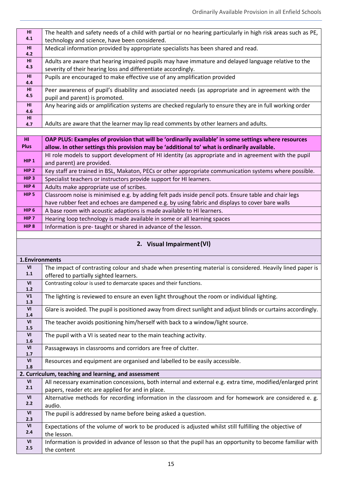| H <sub>II</sub><br>4.1                   | The health and safety needs of a child with partial or no hearing particularly in high risk areas such as PE,<br>technology and science, have been considered. |
|------------------------------------------|----------------------------------------------------------------------------------------------------------------------------------------------------------------|
| HI                                       | Medical information provided by appropriate specialists has been shared and read.                                                                              |
| 4.2                                      |                                                                                                                                                                |
| H1<br>4.3                                | Adults are aware that hearing impaired pupils may have immature and delayed language relative to the                                                           |
|                                          | severity of their hearing loss and differentiate accordingly.                                                                                                  |
| HI<br>4.4                                | Pupils are encouraged to make effective use of any amplification provided                                                                                      |
| HI                                       | Peer awareness of pupil's disability and associated needs (as appropriate and in agreement with the                                                            |
| 4.5                                      | pupil and parent) is promoted.                                                                                                                                 |
| HI<br>4.6                                | Any hearing aids or amplification systems are checked regularly to ensure they are in full working order                                                       |
| HI                                       |                                                                                                                                                                |
| 4.7                                      | Adults are aware that the learner may lip read comments by other learners and adults.                                                                          |
|                                          |                                                                                                                                                                |
| HI                                       | OAP PLUS: Examples of provision that will be 'ordinarily available' in some settings where resources                                                           |
| <b>Plus</b>                              | allow. In other settings this provision may be 'additional to' what is ordinarily available.                                                                   |
| HIP <sub>1</sub>                         | HI role models to support development of HI identity (as appropriate and in agreement with the pupil                                                           |
|                                          | and parent) are provided.                                                                                                                                      |
| HIP <sub>2</sub>                         | Key staff are trained in BSL, Makaton, PECs or other appropriate communication systems where possible.                                                         |
| HIP <sub>3</sub>                         | Specialist teachers or instructors provide support for HI learners.                                                                                            |
| HIP 4                                    | Adults make appropriate use of scribes.                                                                                                                        |
| HIP <sub>5</sub>                         | Classroom noise is minimised e.g. by adding felt pads inside pencil pots. Ensure table and chair legs                                                          |
| HIP <sub>6</sub>                         | have rubber feet and echoes are dampened e.g. by using fabric and displays to cover bare walls                                                                 |
| HIP <sub>7</sub>                         | A base room with acoustic adaptions is made available to HI learners.<br>Hearing loop technology is made available in some or all learning spaces              |
| HIP <sub>8</sub>                         | Information is pre-taught or shared in advance of the lesson.                                                                                                  |
|                                          |                                                                                                                                                                |
|                                          |                                                                                                                                                                |
|                                          | 2. Visual Impairment (VI)                                                                                                                                      |
|                                          |                                                                                                                                                                |
| 1. Environments<br>VI                    |                                                                                                                                                                |
| $1.1\,$                                  | The impact of contrasting colour and shade when presenting material is considered. Heavily lined paper is                                                      |
| VI                                       | offered to partially sighted learners.<br>Contrasting colour is used to demarcate spaces and their functions.                                                  |
| $1.2$                                    |                                                                                                                                                                |
| V1<br>1.3                                | The lighting is reviewed to ensure an even light throughout the room or individual lighting.                                                                   |
| VI<br>1.4                                | Glare is avoided. The pupil is positioned away from direct sunlight and adjust blinds or curtains accordingly.                                                 |
| VI                                       | The teacher avoids positioning him/herself with back to a window/light source.                                                                                 |
| 1.5<br>VI                                | The pupil with a VI is seated near to the main teaching activity.                                                                                              |
| 1.6                                      |                                                                                                                                                                |
| VI<br>1.7                                | Passageways in classrooms and corridors are free of clutter.                                                                                                   |
| $\ensuremath{\mathsf{VI}}\xspace$<br>1.8 | Resources and equipment are organised and labelled to be easily accessible.                                                                                    |
|                                          | 2. Curriculum, teaching and learning, and assessment                                                                                                           |
| $\ensuremath{\mathsf{VI}}\xspace$        | All necessary examination concessions, both internal and external e.g. extra time, modified/enlarged print                                                     |
| 2.1                                      | papers, reader etc are applied for and in place.                                                                                                               |
| VI                                       | Alternative methods for recording information in the classroom and for homework are considered e. g.                                                           |
| 2.2                                      | audio.                                                                                                                                                         |
| VI<br>2.3                                | The pupil is addressed by name before being asked a question.                                                                                                  |
| VI                                       | Expectations of the volume of work to be produced is adjusted whilst still fulfilling the objective of                                                         |
| 2.4                                      | the lesson.                                                                                                                                                    |
| VI<br>2.5                                | Information is provided in advance of lesson so that the pupil has an opportunity to become familiar with<br>the content                                       |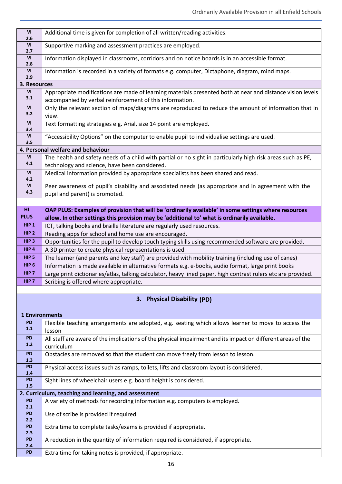| VI<br>2.6                                | Additional time is given for completion of all written/reading activities.                                                |
|------------------------------------------|---------------------------------------------------------------------------------------------------------------------------|
| $\ensuremath{\mathsf{VI}}\xspace$        | Supportive marking and assessment practices are employed.                                                                 |
| 2.7<br>VI                                | Information displayed in classrooms, corridors and on notice boards is in an accessible format.                           |
| 2.8                                      |                                                                                                                           |
| ${\sf VI}$<br>2.9                        | Information is recorded in a variety of formats e.g. computer, Dictaphone, diagram, mind maps.                            |
| 3. Resources                             |                                                                                                                           |
| ${\sf VI}$                               | Appropriate modifications are made of learning materials presented both at near and distance vision levels                |
| 3.1                                      | accompanied by verbal reinforcement of this information.                                                                  |
| $\ensuremath{\mathsf{VI}}\xspace$<br>3.2 | Only the relevant section of maps/diagrams are reproduced to reduce the amount of information that in<br>view.            |
| VI<br>3.4                                | Text formatting strategies e.g. Arial, size 14 point are employed.                                                        |
| VI                                       | "Accessibility Options" on the computer to enable pupil to individualise settings are used.                               |
| 3.5                                      | 4. Personal welfare and behaviour                                                                                         |
| VI                                       | The health and safety needs of a child with partial or no sight in particularly high risk areas such as PE,               |
| 4.1                                      | technology and science, have been considered.                                                                             |
| $\ensuremath{\mathsf{VI}}\xspace$        | Medical information provided by appropriate specialists has been shared and read.                                         |
| 4.2                                      |                                                                                                                           |
| $\ensuremath{\mathsf{VI}}\xspace$<br>4.3 | Peer awareness of pupil's disability and associated needs (as appropriate and in agreement with the                       |
|                                          | pupil and parent) is promoted.                                                                                            |
| H <sub>II</sub>                          | OAP PLUS: Examples of provision that will be 'ordinarily available' in some settings where resources                      |
| <b>PLUS</b>                              | allow. In other settings this provision may be 'additional to' what is ordinarily available.                              |
| HIP <sub>1</sub>                         | ICT, talking books and braille literature are regularly used resources.                                                   |
| HIP <sub>2</sub>                         | Reading apps for school and home use are encouraged.                                                                      |
| HIP <sub>3</sub>                         | Opportunities for the pupil to develop touch typing skills using recommended software are provided.                       |
| HIP 4                                    | A 3D printer to create physical representations is used.                                                                  |
| HIP <sub>5</sub>                         | The learner (and parents and key staff) are provided with mobility training (including use of canes)                      |
| HIP <sub>6</sub>                         | Information is made available in alternative formats e.g. e-books, audio format, large print books                        |
| HIP <sub>7</sub>                         | Large print dictionaries/atlas, talking calculator, heavy lined paper, high contrast rulers etc are provided.             |
| HIP <sub>7</sub>                         | Scribing is offered where appropriate.                                                                                    |
|                                          |                                                                                                                           |
|                                          | 3. Physical Disability (PD)                                                                                               |
| <b>1 Environments</b>                    |                                                                                                                           |
| <b>PD</b>                                | Flexible teaching arrangements are adopted, e.g. seating which allows learner to move to access the                       |
| 1.1                                      | lesson                                                                                                                    |
| <b>PD</b><br>1.2                         | All staff are aware of the implications of the physical impairment and its impact on different areas of the<br>curriculum |
| <b>PD</b>                                | Obstacles are removed so that the student can move freely from lesson to lesson.                                          |
| 1.3                                      |                                                                                                                           |
| <b>PD</b><br>1.4                         | Physical access issues such as ramps, toilets, lifts and classroom layout is considered.                                  |
| <b>PD</b><br>1.5                         | Sight lines of wheelchair users e.g. board height is considered.                                                          |
|                                          | 2. Curriculum, teaching and learning, and assessment                                                                      |
| <b>PD</b><br>2.1                         | A variety of methods for recording information e.g. computers is employed.                                                |
| <b>PD</b><br>2.2                         | Use of scribe is provided if required.                                                                                    |
| <b>PD</b><br>2.3                         | Extra time to complete tasks/exams is provided if appropriate.                                                            |
| <b>PD</b><br>2.4                         | A reduction in the quantity of information required is considered, if appropriate.                                        |
| <b>PD</b>                                | Extra time for taking notes is provided, if appropriate.                                                                  |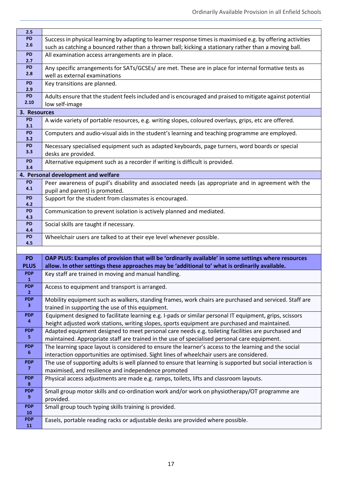| 2.5                          |                                                                                                                                                             |
|------------------------------|-------------------------------------------------------------------------------------------------------------------------------------------------------------|
| PD                           | Success in physical learning by adapting to learner response times is maximised e.g. by offering activities                                                 |
| 2.6                          | such as catching a bounced rather than a thrown ball; kicking a stationary rather than a moving ball.                                                       |
| <b>PD</b>                    | All examination access arrangements are in place.                                                                                                           |
| 2.7                          |                                                                                                                                                             |
| PD                           | Any specific arrangements for SATs/GCSEs/ are met. These are in place for internal formative tests as                                                       |
| 2.8                          | well as external examinations                                                                                                                               |
| PD                           | Key transitions are planned.                                                                                                                                |
| 2.9<br>PD                    |                                                                                                                                                             |
| 2.10                         | Adults ensure that the student feels included and is encouraged and praised to mitigate against potential                                                   |
|                              | low self-image                                                                                                                                              |
| 3. Resources                 |                                                                                                                                                             |
| PD<br>3.1                    | A wide variety of portable resources, e.g. writing slopes, coloured overlays, grips, etc are offered.                                                       |
| PD                           | Computers and audio-visual aids in the student's learning and teaching programme are employed.                                                              |
| 3.2                          |                                                                                                                                                             |
| PD                           | Necessary specialised equipment such as adapted keyboards, page turners, word boards or special                                                             |
| 3.3                          | desks are provided.                                                                                                                                         |
| PD                           | Alternative equipment such as a recorder if writing is difficult is provided.                                                                               |
| 3.4                          |                                                                                                                                                             |
|                              | 4. Personal development and welfare                                                                                                                         |
| PD<br>4.1                    | Peer awareness of pupil's disability and associated needs (as appropriate and in agreement with the                                                         |
|                              | pupil and parent) is promoted.                                                                                                                              |
| PD<br>4.2                    | Support for the student from classmates is encouraged.                                                                                                      |
| PD                           | Communication to prevent isolation is actively planned and mediated.                                                                                        |
| 4.3                          |                                                                                                                                                             |
| PD                           | Social skills are taught if necessary.                                                                                                                      |
| 4.4                          |                                                                                                                                                             |
| <b>PD</b><br>4.5             | Wheelchair users are talked to at their eye level whenever possible.                                                                                        |
|                              |                                                                                                                                                             |
| <b>PD</b>                    | OAP PLUS: Examples of provision that will be 'ordinarily available' in some settings where resources                                                        |
| <b>PLUS</b>                  | allow. In other settings these approaches may be 'additional to' what is ordinarily available.                                                              |
| <b>PDP</b>                   | Key staff are trained in moving and manual handling.                                                                                                        |
| $\mathbf{1}$                 |                                                                                                                                                             |
| <b>PDP</b>                   | Access to equipment and transport is arranged.                                                                                                              |
| 2 <sup>2</sup><br><b>PDP</b> |                                                                                                                                                             |
| $\mathbf{3}$                 | Mobility equipment such as walkers, standing frames, work chairs are purchased and serviced. Staff are                                                      |
| <b>PDP</b>                   | trained in supporting the use of this equipment.<br>Equipment designed to facilitate learning e.g. I-pads or similar personal IT equipment, grips, scissors |
| $\overline{\mathbf{4}}$      | height adjusted work stations, writing slopes, sports equipment are purchased and maintained.                                                               |
| <b>PDP</b>                   |                                                                                                                                                             |
| $\overline{\mathbf{5}}$      | Adapted equipment designed to meet personal care needs e.g. toileting facilities are purchased and                                                          |
| <b>PDP</b>                   | maintained. Appropriate staff are trained in the use of specialised personal care equipment.                                                                |
| $\boldsymbol{6}$             | The learning space layout is considered to ensure the learner's access to the learning and the social                                                       |
| <b>PDP</b>                   | interaction opportunities are optimised. Sight lines of wheelchair users are considered.                                                                    |
| $\overline{7}$               | The use of supporting adults is well planned to ensure that learning is supported but social interaction is                                                 |
| <b>PDP</b>                   | maximised, and resilience and independence promoted                                                                                                         |
| 8                            | Physical access adjustments are made e.g. ramps, toilets, lifts and classroom layouts.                                                                      |
| <b>PDP</b>                   | Small group motor skills and co-ordination work and/or work on physiotherapy/OT programme are                                                               |
| 9                            | provided.                                                                                                                                                   |
| <b>PDP</b>                   | Small group touch typing skills training is provided.                                                                                                       |
| 10                           |                                                                                                                                                             |
| <b>PDP</b>                   | Easels, portable reading racks or adjustable desks are provided where possible.                                                                             |
| 11                           |                                                                                                                                                             |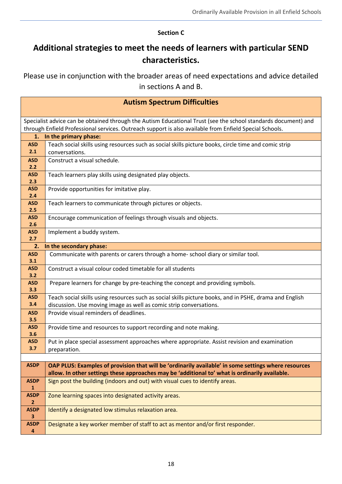#### **Section C**

# **Additional strategies to meet the needs of learners with particular SEND characteristics.**

Please use in conjunction with the broader areas of need expectations and advice detailed in sections A and B.

| <b>Autism Spectrum Difficulties</b>                                                                                                                                                                                       |                                                                                                         |
|---------------------------------------------------------------------------------------------------------------------------------------------------------------------------------------------------------------------------|---------------------------------------------------------------------------------------------------------|
| Specialist advice can be obtained through the Autism Educational Trust (see the school standards document) and<br>through Enfield Professional services. Outreach support is also available from Enfield Special Schools. |                                                                                                         |
| 1.                                                                                                                                                                                                                        | In the primary phase:                                                                                   |
| <b>ASD</b>                                                                                                                                                                                                                | Teach social skills using resources such as social skills picture books, circle time and comic strip    |
| 2.1                                                                                                                                                                                                                       | conversations.                                                                                          |
| <b>ASD</b>                                                                                                                                                                                                                | Construct a visual schedule.                                                                            |
| 2.2                                                                                                                                                                                                                       |                                                                                                         |
| <b>ASD</b>                                                                                                                                                                                                                | Teach learners play skills using designated play objects.                                               |
| 2.3                                                                                                                                                                                                                       |                                                                                                         |
| <b>ASD</b>                                                                                                                                                                                                                | Provide opportunities for imitative play.                                                               |
| 2.4<br><b>ASD</b>                                                                                                                                                                                                         |                                                                                                         |
| 2.5                                                                                                                                                                                                                       | Teach learners to communicate through pictures or objects.                                              |
| <b>ASD</b>                                                                                                                                                                                                                | Encourage communication of feelings through visuals and objects.                                        |
| 2.6                                                                                                                                                                                                                       |                                                                                                         |
| <b>ASD</b>                                                                                                                                                                                                                | Implement a buddy system.                                                                               |
| 2.7                                                                                                                                                                                                                       |                                                                                                         |
| 2.                                                                                                                                                                                                                        | In the secondary phase:                                                                                 |
| <b>ASD</b>                                                                                                                                                                                                                | Communicate with parents or carers through a home- school diary or similar tool.                        |
| 3.1                                                                                                                                                                                                                       |                                                                                                         |
| <b>ASD</b>                                                                                                                                                                                                                | Construct a visual colour coded timetable for all students                                              |
| 3.2<br><b>ASD</b>                                                                                                                                                                                                         |                                                                                                         |
| 3.3                                                                                                                                                                                                                       | Prepare learners for change by pre-teaching the concept and providing symbols.                          |
| <b>ASD</b>                                                                                                                                                                                                                | Teach social skills using resources such as social skills picture books, and in PSHE, drama and English |
| 3.4                                                                                                                                                                                                                       | discussion. Use moving image as well as comic strip conversations.                                      |
| <b>ASD</b>                                                                                                                                                                                                                | Provide visual reminders of deadlines.                                                                  |
| 3.5                                                                                                                                                                                                                       |                                                                                                         |
| <b>ASD</b>                                                                                                                                                                                                                | Provide time and resources to support recording and note making.                                        |
| 3.6                                                                                                                                                                                                                       |                                                                                                         |
| <b>ASD</b>                                                                                                                                                                                                                | Put in place special assessment approaches where appropriate. Assist revision and examination           |
| 3.7                                                                                                                                                                                                                       | preparation.                                                                                            |
|                                                                                                                                                                                                                           |                                                                                                         |
| <b>ASDP</b>                                                                                                                                                                                                               | OAP PLUS: Examples of provision that will be 'ordinarily available' in some settings where resources    |
|                                                                                                                                                                                                                           | allow. In other settings these approaches may be 'additional to' what is ordinarily available.          |
| <b>ASDP</b>                                                                                                                                                                                                               | Sign post the building (indoors and out) with visual cues to identify areas.                            |
| $\mathbf{1}$                                                                                                                                                                                                              |                                                                                                         |
| <b>ASDP</b><br>$\mathbf{2}$                                                                                                                                                                                               | Zone learning spaces into designated activity areas.                                                    |
| <b>ASDP</b><br>$\overline{\mathbf{3}}$                                                                                                                                                                                    | Identify a designated low stimulus relaxation area.                                                     |
| <b>ASDP</b>                                                                                                                                                                                                               | Designate a key worker member of staff to act as mentor and/or first responder.                         |
| $\overline{\mathbf{4}}$                                                                                                                                                                                                   |                                                                                                         |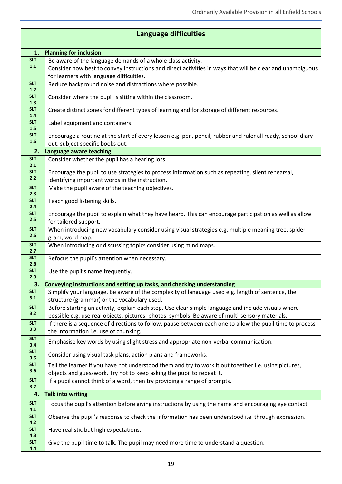| <b>Language difficulties</b> |                                                                                                                                 |
|------------------------------|---------------------------------------------------------------------------------------------------------------------------------|
| 1.                           | <b>Planning for inclusion</b>                                                                                                   |
| <b>SLT</b>                   | Be aware of the language demands of a whole class activity.                                                                     |
| 1.1                          | Consider how best to convey instructions and direct activities in ways that will be clear and unambiguous                       |
|                              | for learners with language difficulties.                                                                                        |
| <b>SLT</b><br>$1.2$          | Reduce background noise and distractions where possible.                                                                        |
| <b>SLT</b>                   | Consider where the pupil is sitting within the classroom.                                                                       |
| 1.3                          |                                                                                                                                 |
| <b>SLT</b><br>1.4            | Create distinct zones for different types of learning and for storage of different resources.                                   |
| <b>SLT</b><br>1.5            | Label equipment and containers.                                                                                                 |
| <b>SLT</b>                   | Encourage a routine at the start of every lesson e.g. pen, pencil, rubber and ruler all ready, school diary                     |
| 1.6                          | out, subject specific books out.                                                                                                |
| 2.                           | Language aware teaching                                                                                                         |
| <b>SLT</b><br>2.1            | Consider whether the pupil has a hearing loss.                                                                                  |
| <b>SLT</b>                   | Encourage the pupil to use strategies to process information such as repeating, silent rehearsal,                               |
| 2.2                          | identifying important words in the instruction.                                                                                 |
| <b>SLT</b><br>2.3            | Make the pupil aware of the teaching objectives.                                                                                |
| <b>SLT</b>                   | Teach good listening skills.                                                                                                    |
| 2.4                          |                                                                                                                                 |
| <b>SLT</b><br>2.5            | Encourage the pupil to explain what they have heard. This can encourage participation as well as allow<br>for tailored support. |
| <b>SLT</b>                   | When introducing new vocabulary consider using visual strategies e.g. multiple meaning tree, spider                             |
| 2.6                          | gram, word map.                                                                                                                 |
| <b>SLT</b>                   | When introducing or discussing topics consider using mind maps.                                                                 |
| 2.7                          |                                                                                                                                 |
| <b>SLT</b><br>2.8            | Refocus the pupil's attention when necessary.                                                                                   |
| <b>SLT</b><br>2.9            | Use the pupil's name frequently.                                                                                                |
| 3.                           | Conveying instructions and setting up tasks, and checking understanding                                                         |
| <b>SLT</b>                   | Simplify your language. Be aware of the complexity of language used e.g. length of sentence, the                                |
| 3.1                          | structure (grammar) or the vocabulary used.                                                                                     |
| <b>SLT</b>                   | Before starting an activity, explain each step. Use clear simple language and include visuals where                             |
| 3.2                          | possible e.g. use real objects, pictures, photos, symbols. Be aware of multi-sensory materials.                                 |
| <b>SLT</b><br>3.3            | If there is a sequence of directions to follow, pause between each one to allow the pupil time to process                       |
| <b>SLT</b>                   | the information i.e. use of chunking.                                                                                           |
| 3.4                          | Emphasise key words by using slight stress and appropriate non-verbal communication.                                            |
| <b>SLT</b><br>3.5            | Consider using visual task plans, action plans and frameworks.                                                                  |
| <b>SLT</b>                   | Tell the learner if you have not understood them and try to work it out together i.e. using pictures,                           |
| 3.6                          | objects and guesswork. Try not to keep asking the pupil to repeat it.                                                           |
| <b>SLT</b><br>3.7            | If a pupil cannot think of a word, then try providing a range of prompts.                                                       |
| 4.                           | <b>Talk into writing</b>                                                                                                        |
| <b>SLT</b>                   | Focus the pupil's attention before giving instructions by using the name and encouraging eye contact.                           |
| 4.1<br><b>SLT</b>            | Observe the pupil's response to check the information has been understood i.e. through expression.                              |
| 4.2                          |                                                                                                                                 |
| <b>SLT</b><br>4.3            | Have realistic but high expectations.                                                                                           |
| <b>SLT</b>                   | Give the pupil time to talk. The pupil may need more time to understand a question.                                             |
| 4.4                          |                                                                                                                                 |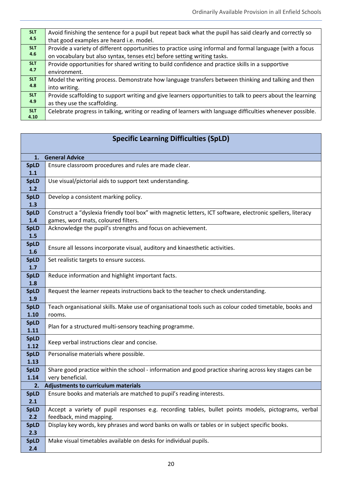| <b>SLT</b> | Avoid finishing the sentence for a pupil but repeat back what the pupil has said clearly and correctly so   |
|------------|-------------------------------------------------------------------------------------------------------------|
| 4.5        | that good examples are heard i.e. model.                                                                    |
| <b>SLT</b> | Provide a variety of different opportunities to practice using informal and formal language (with a focus   |
| 4.6        | on vocabulary but also syntax, tenses etc) before setting writing tasks.                                    |
| <b>SLT</b> | Provide opportunities for shared writing to build confidence and practice skills in a supportive            |
| 4.7        | environment.                                                                                                |
| <b>SLT</b> | Model the writing process. Demonstrate how language transfers between thinking and talking and then         |
| 4.8        | into writing.                                                                                               |
| <b>SLT</b> | Provide scaffolding to support writing and give learners opportunities to talk to peers about the learning  |
| 4.9        | as they use the scaffolding.                                                                                |
| <b>SLT</b> | Celebrate progress in talking, writing or reading of learners with language difficulties whenever possible. |
| 4.10       |                                                                                                             |

| <b>Specific Learning Difficulties (SpLD)</b> |                                                                                                                                                    |
|----------------------------------------------|----------------------------------------------------------------------------------------------------------------------------------------------------|
| 1.                                           | <b>General Advice</b>                                                                                                                              |
| <b>SpLD</b><br>1.1                           | Ensure classroom procedures and rules are made clear.                                                                                              |
| <b>SpLD</b><br>1.2                           | Use visual/pictorial aids to support text understanding.                                                                                           |
| <b>SpLD</b><br>1.3                           | Develop a consistent marking policy.                                                                                                               |
| <b>SpLD</b><br>1.4                           | Construct a "dyslexia friendly tool box" with magnetic letters, ICT software, electronic spellers, literacy<br>games, word mats, coloured filters. |
| <b>SpLD</b><br>1.5                           | Acknowledge the pupil's strengths and focus on achievement.                                                                                        |
| <b>SpLD</b><br>1.6                           | Ensure all lessons incorporate visual, auditory and kinaesthetic activities.                                                                       |
| <b>SpLD</b><br>1.7                           | Set realistic targets to ensure success.                                                                                                           |
| <b>SpLD</b><br>1.8                           | Reduce information and highlight important facts.                                                                                                  |
| <b>SpLD</b><br>1.9                           | Request the learner repeats instructions back to the teacher to check understanding.                                                               |
| <b>SpLD</b><br>1.10                          | Teach organisational skills. Make use of organisational tools such as colour coded timetable, books and<br>rooms.                                  |
| <b>SpLD</b><br>1.11                          | Plan for a structured multi-sensory teaching programme.                                                                                            |
| <b>SpLD</b><br>1.12                          | Keep verbal instructions clear and concise.                                                                                                        |
| <b>SpLD</b><br>1.13                          | Personalise materials where possible.                                                                                                              |
| <b>SpLD</b><br>1.14                          | Share good practice within the school - information and good practice sharing across key stages can be<br>very beneficial.                         |
|                                              | 2. Adjustments to curriculum materials                                                                                                             |
| 2.1                                          | $SplD$   Ensure books and materials are matched to pupil's reading interests.                                                                      |
| <b>SpLD</b><br>2.2                           | Accept a variety of pupil responses e.g. recording tables, bullet points models, pictograms, verbal<br>feedback, mind mapping.                     |
| <b>SpLD</b><br>2.3                           | Display key words, key phrases and word banks on walls or tables or in subject specific books.                                                     |
| <b>SpLD</b><br>2.4                           | Make visual timetables available on desks for individual pupils.                                                                                   |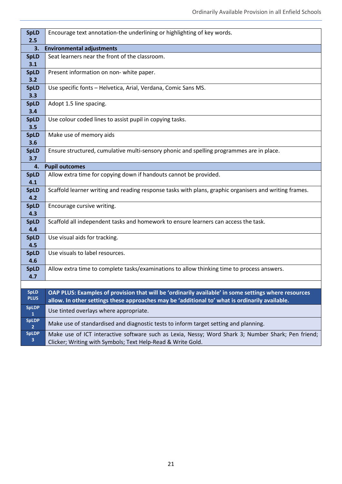| <b>SpLD</b>                | Encourage text annotation-the underlining or highlighting of key words.                                                                                                                                |
|----------------------------|--------------------------------------------------------------------------------------------------------------------------------------------------------------------------------------------------------|
| 2.5                        |                                                                                                                                                                                                        |
| 3.                         | <b>Environmental adjustments</b>                                                                                                                                                                       |
| <b>SpLD</b><br>3.1         | Seat learners near the front of the classroom.                                                                                                                                                         |
| <b>SpLD</b><br>3.2         | Present information on non-white paper.                                                                                                                                                                |
| <b>SpLD</b><br>3.3         | Use specific fonts - Helvetica, Arial, Verdana, Comic Sans MS.                                                                                                                                         |
| <b>SpLD</b><br>3.4         | Adopt 1.5 line spacing.                                                                                                                                                                                |
| <b>SpLD</b><br>3.5         | Use colour coded lines to assist pupil in copying tasks.                                                                                                                                               |
| <b>SpLD</b><br>3.6         | Make use of memory aids                                                                                                                                                                                |
| <b>SpLD</b><br>3.7         | Ensure structured, cumulative multi-sensory phonic and spelling programmes are in place.                                                                                                               |
| 4.                         | <b>Pupil outcomes</b>                                                                                                                                                                                  |
| <b>SpLD</b><br>4.1         | Allow extra time for copying down if handouts cannot be provided.                                                                                                                                      |
| <b>SpLD</b><br>4.2         | Scaffold learner writing and reading response tasks with plans, graphic organisers and writing frames.                                                                                                 |
| <b>SpLD</b><br>4.3         | Encourage cursive writing.                                                                                                                                                                             |
| <b>SpLD</b><br>4.4         | Scaffold all independent tasks and homework to ensure learners can access the task.                                                                                                                    |
| <b>SpLD</b><br>4.5         | Use visual aids for tracking.                                                                                                                                                                          |
| <b>SpLD</b><br>4.6         | Use visuals to label resources.                                                                                                                                                                        |
| <b>SpLD</b><br>4.7         | Allow extra time to complete tasks/examinations to allow thinking time to process answers.                                                                                                             |
|                            |                                                                                                                                                                                                        |
| <b>SpLD</b><br><b>PLUS</b> | OAP PLUS: Examples of provision that will be 'ordinarily available' in some settings where resources<br>allow. In other settings these approaches may be 'additional to' what is ordinarily available. |
| <b>SpLDP</b><br>1          | Use tinted overlays where appropriate.                                                                                                                                                                 |
| <b>SpLDP</b><br>2          | Make use of standardised and diagnostic tests to inform target setting and planning.                                                                                                                   |
| <b>SpLDP</b><br>3          | Make use of ICT interactive software such as Lexia, Nessy; Word Shark 3; Number Shark; Pen friend;<br>Clicker; Writing with Symbols; Text Help-Read & Write Gold.                                      |